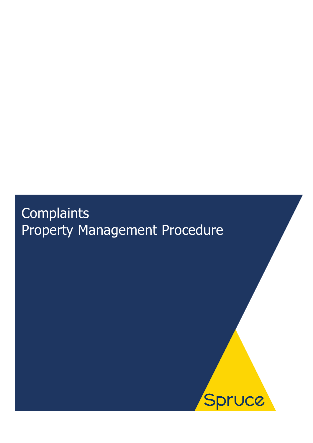# **Complaints** Property Management Procedure

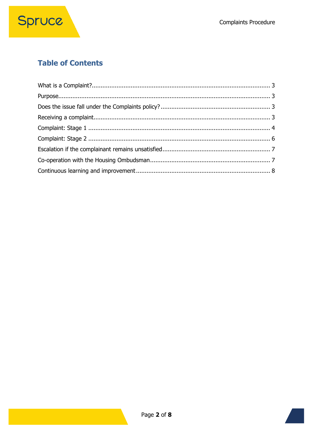### **Table of Contents**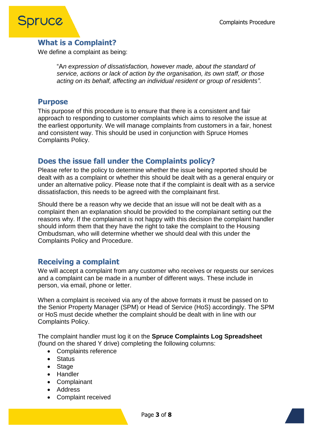

### <span id="page-2-0"></span>**What is a Complaint?**

We define a complaint as being:

"A*n expression of dissatisfaction, however made, about the standard of service, actions or lack of action by the organisation, its own staff, or those acting on its behalf, affecting an individual resident or group of residents".*

#### <span id="page-2-1"></span>**Purpose**

This purpose of this procedure is to ensure that there is a consistent and fair approach to responding to customer complaints which aims to resolve the issue at the earliest opportunity. We will manage complaints from customers in a fair, honest and consistent way. This should be used in conjunction with Spruce Homes Complaints Policy.

### <span id="page-2-2"></span>**Does the issue fall under the Complaints policy?**

Please refer to the policy to determine whether the issue being reported should be dealt with as a complaint or whether this should be dealt with as a general enquiry or under an alternative policy. Please note that if the complaint is dealt with as a service dissatisfaction, this needs to be agreed with the complainant first.

Should there be a reason why we decide that an issue will not be dealt with as a complaint then an explanation should be provided to the complainant setting out the reasons why. If the complainant is not happy with this decision the complaint handler should inform them that they have the right to take the complaint to the Housing Ombudsman, who will determine whether we should deal with this under the Complaints Policy and Procedure.

### <span id="page-2-3"></span>**Receiving a complaint**

We will accept a complaint from any customer who receives or requests our services and a complaint can be made in a number of different ways. These include in person, via email, phone or letter.

When a complaint is received via any of the above formats it must be passed on to the Senior Property Manager (SPM) or Head of Service (HoS) accordingly. The SPM or HoS must decide whether the complaint should be dealt with in line with our Complaints Policy.

The complaint handler must log it on the **Spruce Complaints Log Spreadsheet** (found on the shared Y drive) completing the following columns:

- Complaints reference
- Status
- Stage
- Handler
- Complainant
- Address
- Complaint received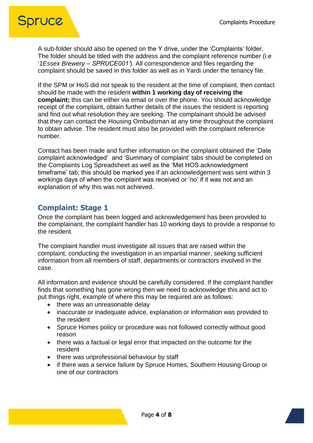

A sub-folder should also be opened on the Y drive, under the 'Complaints' folder. The folder should be titled with the address and the complaint reference number (i.e '*1Essex Brewery – SPRUCE001'*). All correspondence and files regarding the complaint should be saved in this folder as well as in Yardi under the tenancy file.

If the SPM or HoS did not speak to the resident at the time of complaint, then contact should be made with the resident **within 1 working day of receiving the complaint;** this can be either via email or over the phone. You should acknowledge receipt of the complaint, obtain further details of the issues the resident is reporting and find out what resolution they are seeking. The complainant should be advised that they can contact the Housing Ombudsman at any time throughout the complaint to obtain advise. The resident must also be provided with the complaint reference number.

Contact has been made and further information on the complaint obtained the 'Date complaint acknowledged' and 'Summary of complaint' tabs should be completed on the Complaints Log Spreadsheet as well as the 'Met HOS acknowledgment timeframe' tab; this should be marked yes if an acknowledgement was sent within 3 workings days of when the complaint was received or 'no' if it was not and an explanation of why this was not achieved.

### <span id="page-3-0"></span>**Complaint: Stage 1**

Once the complaint has been logged and acknowledgement has been provided to the complainant, the complaint handler has 10 working days to provide a response to the resident.

The complaint handler must investigate all issues that are raised within the complaint, conducting the investigation in an impartial manner, seeking sufficient information from all members of staff, departments or contractors involved in the case.

All information and evidence should be carefully considered. If the complaint handler finds that something has gone wrong then we need to acknowledge this and act to put things right, example of where this may be required are as follows:

- there was an unreasonable delay
- inaccurate or inadequate advice, explanation or information was provided to the resident
- Spruce Homes policy or procedure was not followed correctly without good reason
- there was a factual or legal error that impacted on the outcome for the resident
- there was unprofessional behaviour by staff
- if there was a service failure by Spruce Homes, Southern Housing Group or one of our contractors

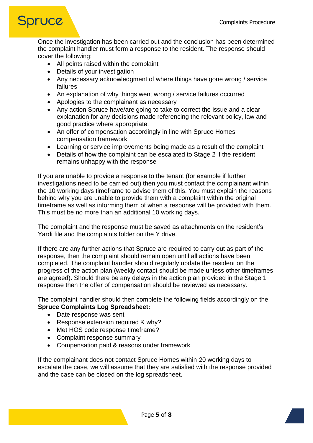## <span id="page-4-0"></span>**Spruce**

Once the investigation has been carried out and the conclusion has been determined the complaint handler must form a response to the resident. The response should cover the following:

- All points raised within the complaint
- Details of your investigation
- Any necessary acknowledgment of where things have gone wrong / service failures
- An explanation of why things went wrong / service failures occurred
- Apologies to the complainant as necessary
- Any action Spruce have/are going to take to correct the issue and a clear explanation for any decisions made referencing the relevant policy, law and good practice where appropriate.
- An offer of compensation accordingly in line with Spruce Homes compensation framework
- Learning or service improvements being made as a result of the complaint
- Details of how the complaint can be escalated to Stage 2 if the resident remains unhappy with the response

If you are unable to provide a response to the tenant (for example if further investigations need to be carried out) then you must contact the complainant within the 10 working days timeframe to advise them of this. You must explain the reasons behind why you are unable to provide them with a complaint within the original timeframe as well as informing them of when a response will be provided with them. This must be no more than an additional 10 working days.

The complaint and the response must be saved as attachments on the resident's Yardi file and the complaints folder on the Y drive.

If there are any further actions that Spruce are required to carry out as part of the response, then the complaint should remain open until all actions have been completed. The complaint handler should regularly update the resident on the progress of the action plan (weekly contact should be made unless other timeframes are agreed). Should there be any delays in the action plan provided in the Stage 1 response then the offer of compensation should be reviewed as necessary.

The complaint handler should then complete the following fields accordingly on the **Spruce Complaints Log Spreadsheet:**

- Date response was sent
- Response extension required & why?
- Met HOS code response timeframe?
- Complaint response summary
- Compensation paid & reasons under framework

If the complainant does not contact Spruce Homes within 20 working days to escalate the case, we will assume that they are satisfied with the response provided and the case can be closed on the log spreadsheet.

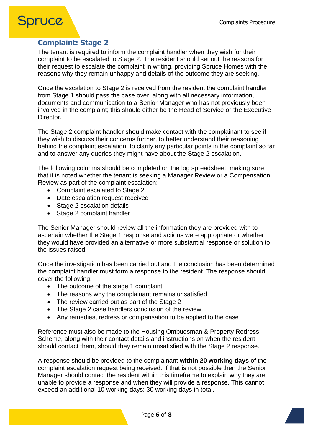### **Spruce**

### **Complaint: Stage 2**

The tenant is required to inform the complaint handler when they wish for their complaint to be escalated to Stage 2. The resident should set out the reasons for their request to escalate the complaint in writing, providing Spruce Homes with the reasons why they remain unhappy and details of the outcome they are seeking.

Once the escalation to Stage 2 is received from the resident the complaint handler from Stage 1 should pass the case over, along with all necessary information, documents and communication to a Senior Manager who has not previously been involved in the complaint; this should either be the Head of Service or the Executive Director.

The Stage 2 complaint handler should make contact with the complainant to see if they wish to discuss their concerns further, to better understand their reasoning behind the complaint escalation, to clarify any particular points in the complaint so far and to answer any queries they might have about the Stage 2 escalation.

The following columns should be completed on the log spreadsheet, making sure that it is noted whether the tenant is seeking a Manager Review or a Compensation Review as part of the complaint escalation:

- Complaint escalated to Stage 2
- Date escalation request received
- Stage 2 escalation details
- Stage 2 complaint handler

The Senior Manager should review all the information they are provided with to ascertain whether the Stage 1 response and actions were appropriate or whether they would have provided an alternative or more substantial response or solution to the issues raised.

Once the investigation has been carried out and the conclusion has been determined the complaint handler must form a response to the resident. The response should cover the following:

- The outcome of the stage 1 complaint
- The reasons why the complainant remains unsatisfied
- The review carried out as part of the Stage 2
- The Stage 2 case handlers conclusion of the review
- Any remedies, redress or compensation to be applied to the case

Reference must also be made to the Housing Ombudsman & Property Redress Scheme, along with their contact details and instructions on when the resident should contact them, should they remain unsatisfied with the Stage 2 response.

A response should be provided to the complainant **within 20 working days** of the complaint escalation request being received. If that is not possible then the Senior Manager should contact the resident within this timeframe to explain why they are unable to provide a response and when they will provide a response. This cannot exceed an additional 10 working days; 30 working days in total.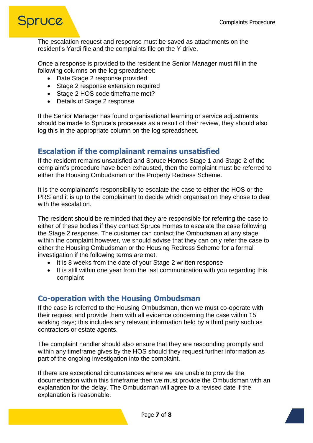

The escalation request and response must be saved as attachments on the resident's Yardi file and the complaints file on the Y drive.

Once a response is provided to the resident the Senior Manager must fill in the following columns on the log spreadsheet:

- Date Stage 2 response provided
- Stage 2 response extension required
- Stage 2 HOS code timeframe met?
- Details of Stage 2 response

If the Senior Manager has found organisational learning or service adjustments should be made to Spruce's processes as a result of their review, they should also log this in the appropriate column on the log spreadsheet.

### <span id="page-6-0"></span>**Escalation if the complainant remains unsatisfied**

If the resident remains unsatisfied and Spruce Homes Stage 1 and Stage 2 of the complaint's procedure have been exhausted, then the complaint must be referred to either the Housing Ombudsman or the Property Redress Scheme.

It is the complainant's responsibility to escalate the case to either the HOS or the PRS and it is up to the complainant to decide which organisation they chose to deal with the escalation.

The resident should be reminded that they are responsible for referring the case to either of these bodies if they contact Spruce Homes to escalate the case following the Stage 2 response. The customer can contact the Ombudsman at any stage within the complaint however, we should advise that they can only refer the case to either the Housing Ombudsman or the Housing Redress Scheme for a formal investigation if the following terms are met:

- It is 8 weeks from the date of your Stage 2 written response
- It is still within one year from the last communication with you regarding this complaint

### <span id="page-6-1"></span>**Co-operation with the Housing Ombudsman**

If the case is referred to the Housing Ombudsman, then we must co-operate with their request and provide them with all evidence concerning the case within 15 working days; this includes any relevant information held by a third party such as contractors or estate agents.

The complaint handler should also ensure that they are responding promptly and within any timeframe gives by the HOS should they request further information as part of the ongoing investigation into the complaint.

If there are exceptional circumstances where we are unable to provide the documentation within this timeframe then we must provide the Ombudsman with an explanation for the delay. The Ombudsman will agree to a revised date if the explanation is reasonable.